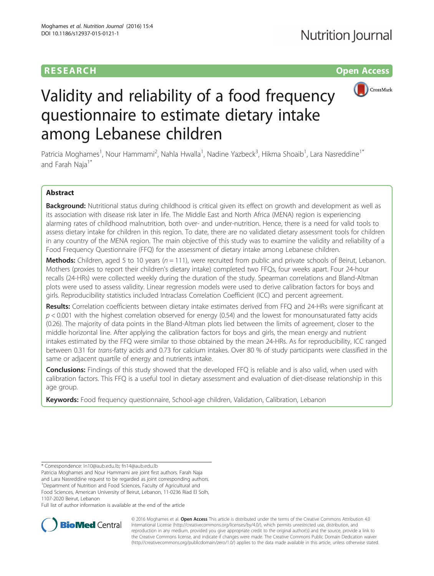## **RESEARCH RESEARCH** *CHECK <b>CHECK*



# Validity and reliability of a food frequency questionnaire to estimate dietary intake among Lebanese children

Patricia Moghames<sup>1</sup>, Nour Hammami<sup>2</sup>, Nahla Hwalla<sup>1</sup>, Nadine Yazbeck<sup>3</sup>, Hikma Shoaib<sup>1</sup>, Lara Nasreddine<sup>1\*</sup> and Farah Naja<sup>1\*</sup>

## Abstract

Background: Nutritional status during childhood is critical given its effect on growth and development as well as its association with disease risk later in life. The Middle East and North Africa (MENA) region is experiencing alarming rates of childhood malnutrition, both over- and under-nutrition. Hence, there is a need for valid tools to assess dietary intake for children in this region. To date, there are no validated dietary assessment tools for children in any country of the MENA region. The main objective of this study was to examine the validity and reliability of a Food Frequency Questionnaire (FFQ) for the assessment of dietary intake among Lebanese children.

**Methods:** Children, aged 5 to 10 years ( $n = 111$ ), were recruited from public and private schools of Beirut, Lebanon. Mothers (proxies to report their children's dietary intake) completed two FFQs, four weeks apart. Four 24-hour recalls (24-HRs) were collected weekly during the duration of the study. Spearman correlations and Bland-Altman plots were used to assess validity. Linear regression models were used to derive calibration factors for boys and girls. Reproducibility statistics included Intraclass Correlation Coefficient (ICC) and percent agreement.

Results: Correlation coefficients between dietary intake estimates derived from FFQ and 24-HRs were significant at  $p < 0.001$  with the highest correlation observed for energy (0.54) and the lowest for monounsaturated fatty acids (0.26). The majority of data points in the Bland-Altman plots lied between the limits of agreement, closer to the middle horizontal line. After applying the calibration factors for boys and girls, the mean energy and nutrient intakes estimated by the FFQ were similar to those obtained by the mean 24-HRs. As for reproducibility, ICC ranged between 0.31 for trans-fatty acids and 0.73 for calcium intakes. Over 80 % of study participants were classified in the same or adjacent quartile of energy and nutrients intake.

**Conclusions:** Findings of this study showed that the developed FFQ is reliable and is also valid, when used with calibration factors. This FFQ is a useful tool in dietary assessment and evaluation of diet-disease relationship in this age group.

Keywords: Food frequency questionnaire, School-age children, Validation, Calibration, Lebanon

Patricia Moghames and Nour Hammami are joint first authors. Farah Naja and Lara Nasreddine request to be regarded as joint corresponding authors. <sup>1</sup>Department of Nutrition and Food Sciences, Faculty of Agricultural and

Food Sciences, American University of Beirut, Lebanon, 11-0236 Riad El Solh, 1107-2020 Beirut, Lebanon

Full list of author information is available at the end of the article



© 2016 Moghames et al. Open Access This article is distributed under the terms of the Creative Commons Attribution 4.0 International License [\(http://creativecommons.org/licenses/by/4.0/](http://creativecommons.org/licenses/by/4.0/)), which permits unrestricted use, distribution, and reproduction in any medium, provided you give appropriate credit to the original author(s) and the source, provide a link to the Creative Commons license, and indicate if changes were made. The Creative Commons Public Domain Dedication waiver [\(http://creativecommons.org/publicdomain/zero/1.0/](http://creativecommons.org/publicdomain/zero/1.0/)) applies to the data made available in this article, unless otherwise stated.

<sup>\*</sup> Correspondence: [ln10@aub.edu.lb;](mailto:ln10@aub.edu.lb) [fn14@aub.edu.lb](mailto:fn14@aub.edu.lb)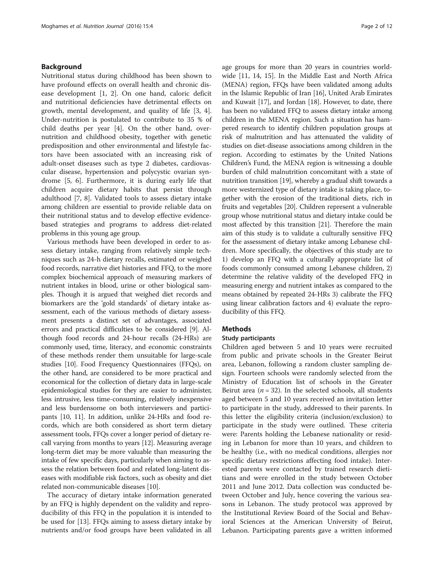## Background

Nutritional status during childhood has been shown to have profound effects on overall health and chronic disease development [[1, 2\]](#page-9-0). On one hand, caloric deficit and nutritional deficiencies have detrimental effects on growth, mental development, and quality of life [[3, 4](#page-9-0)]. Under-nutrition is postulated to contribute to 35 % of child deaths per year [[4\]](#page-9-0). On the other hand, overnutrition and childhood obesity, together with genetic predisposition and other environmental and lifestyle factors have been associated with an increasing risk of adult-onset diseases such as type 2 diabetes, cardiovascular disease, hypertension and polycystic ovarian syndrome [[5](#page-9-0), [6\]](#page-9-0). Furthermore, it is during early life that children acquire dietary habits that persist through adulthood [[7, 8\]](#page-10-0). Validated tools to assess dietary intake among children are essential to provide reliable data on their nutritional status and to develop effective evidencebased strategies and programs to address diet-related problems in this young age group.

Various methods have been developed in order to assess dietary intake, ranging from relatively simple techniques such as 24-h dietary recalls, estimated or weighed food records, narrative diet histories and FFQ, to the more complex biochemical approach of measuring markers of nutrient intakes in blood, urine or other biological samples. Though it is argued that weighed diet records and biomarkers are the 'gold standards' of dietary intake assessment, each of the various methods of dietary assessment presents a distinct set of advantages, associated errors and practical difficulties to be considered [[9](#page-10-0)]. Although food records and 24-hour recalls (24-HRs) are commonly used, time, literacy, and economic constraints of these methods render them unsuitable for large-scale studies [[10](#page-10-0)]. Food Frequency Questionnaires (FFQs), on the other hand, are considered to be more practical and economical for the collection of dietary data in large-scale epidemiological studies for they are easier to administer, less intrusive, less time-consuming, relatively inexpensive and less burdensome on both interviewers and participants [[10](#page-10-0), [11\]](#page-10-0). In addition, unlike 24-HRs and food records, which are both considered as short term dietary assessment tools, FFQs cover a longer period of dietary recall varying from months to years [[12](#page-10-0)]. Measuring average long-term diet may be more valuable than measuring the intake of few specific days, particularly when aiming to assess the relation between food and related long-latent diseases with modifiable risk factors, such as obesity and diet related non-communicable diseases [[10](#page-10-0)].

The accuracy of dietary intake information generated by an FFQ is highly dependent on the validity and reproducibility of this FFQ in the population it is intended to be used for [\[13](#page-10-0)]. FFQs aiming to assess dietary intake by nutrients and/or food groups have been validated in all age groups for more than 20 years in countries worldwide [[11, 14, 15\]](#page-10-0). In the Middle East and North Africa (MENA) region, FFQs have been validated among adults in the Islamic Republic of Iran [\[16\]](#page-10-0), United Arab Emirates and Kuwait [\[17\]](#page-10-0), and Jordan [[18\]](#page-10-0). However, to date, there has been no validated FFQ to assess dietary intake among children in the MENA region. Such a situation has hampered research to identify children population groups at risk of malnutrition and has attenuated the validity of studies on diet-disease associations among children in the region. According to estimates by the United Nations Children's Fund, the MENA region is witnessing a double burden of child malnutrition concomitant with a state of nutrition transition [\[19\]](#page-10-0), whereby a gradual shift towards a more westernized type of dietary intake is taking place, together with the erosion of the traditional diets, rich in fruits and vegetables [\[20\]](#page-10-0). Children represent a vulnerable group whose nutritional status and dietary intake could be most affected by this transition [\[21\]](#page-10-0). Therefore the main aim of this study is to validate a culturally sensitive FFQ for the assessment of dietary intake among Lebanese children. More specifically, the objectives of this study are to 1) develop an FFQ with a culturally appropriate list of foods commonly consumed among Lebanese children, 2) determine the relative validity of the developed FFQ in measuring energy and nutrient intakes as compared to the means obtained by repeated 24-HRs 3) calibrate the FFQ using linear calibration factors and 4) evaluate the reproducibility of this FFQ.

## Methods

## Study participants

Children aged between 5 and 10 years were recruited from public and private schools in the Greater Beirut area, Lebanon, following a random cluster sampling design. Fourteen schools were randomly selected from the Ministry of Education list of schools in the Greater Beirut area ( $n = 32$ ). In the selected schools, all students aged between 5 and 10 years received an invitation letter to participate in the study, addressed to their parents. In this letter the eligibility criteria (inclusion/exclusion) to participate in the study were outlined. These criteria were: Parents holding the Lebanese nationality or residing in Lebanon for more than 10 years, and children to be healthy (i.e., with no medical conditions, allergies nor specific dietary restrictions affecting food intake). Interested parents were contacted by trained research dietitians and were enrolled in the study between October 2011 and June 2012. Data collection was conducted between October and July, hence covering the various seasons in Lebanon. The study protocol was approved by the Institutional Review Board of the Social and Behavioral Sciences at the American University of Beirut, Lebanon. Participating parents gave a written informed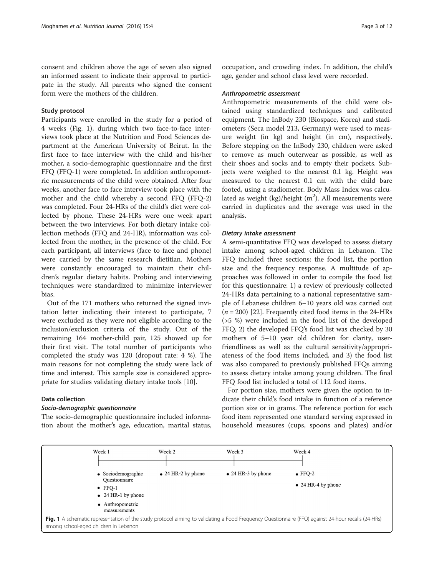consent and children above the age of seven also signed an informed assent to indicate their approval to participate in the study. All parents who signed the consent form were the mothers of the children.

## Study protocol

Participants were enrolled in the study for a period of 4 weeks (Fig. 1), during which two face-to-face interviews took place at the Nutrition and Food Sciences department at the American University of Beirut. In the first face to face interview with the child and his/her mother, a socio-demographic questionnaire and the first FFQ (FFQ-1) were completed. In addition anthropometric measurements of the child were obtained. After four weeks, another face to face interview took place with the mother and the child whereby a second FFQ (FFQ-2) was completed. Four 24-HRs of the child's diet were collected by phone. These 24-HRs were one week apart between the two interviews. For both dietary intake collection methods (FFQ and 24-HR), information was collected from the mother, in the presence of the child. For each participant, all interviews (face to face and phone) were carried by the same research dietitian. Mothers were constantly encouraged to maintain their children's regular dietary habits. Probing and interviewing techniques were standardized to minimize interviewer bias.

Out of the 171 mothers who returned the signed invitation letter indicating their interest to participate, 7 were excluded as they were not eligible according to the inclusion/exclusion criteria of the study. Out of the remaining 164 mother-child pair, 125 showed up for their first visit. The total number of participants who completed the study was 120 (dropout rate: 4 %). The main reasons for not completing the study were lack of time and interest. This sample size is considered appropriate for studies validating dietary intake tools [[10](#page-10-0)].

## Data collection

## Socio-demographic questionnaire

The socio-demographic questionnaire included information about the mother's age, education, marital status, occupation, and crowding index. In addition, the child's age, gender and school class level were recorded.

#### Anthropometric assessment

Anthropometric measurements of the child were obtained using standardized techniques and calibrated equipment. The InBody 230 (Biospace, Korea) and stadiometers (Seca model 213, Germany) were used to measure weight (in kg) and height (in cm), respectively. Before stepping on the InBody 230, children were asked to remove as much outerwear as possible, as well as their shoes and socks and to empty their pockets. Subjects were weighed to the nearest 0.1 kg. Height was measured to the nearest 0.1 cm with the child bare footed, using a stadiometer. Body Mass Index was calculated as weight  $(kg)/$ height  $(m^2)$ . All measurements were carried in duplicates and the average was used in the analysis.

#### Dietary intake assessment

A semi-quantitative FFQ was developed to assess dietary intake among school-aged children in Lebanon. The FFQ included three sections: the food list, the portion size and the frequency response. A multitude of approaches was followed in order to compile the food list for this questionnaire: 1) a review of previously collected 24-HRs data pertaining to a national representative sample of Lebanese children 6–10 years old was carried out  $(n = 200)$  [[22\]](#page-10-0). Frequently cited food items in the 24-HRs (>5 %) were included in the food list of the developed FFQ, 2) the developed FFQ's food list was checked by 30 mothers of 5–10 year old children for clarity, userfriendliness as well as the cultural sensitivity/appropriateness of the food items included, and 3) the food list was also compared to previously published FFQs aiming to assess dietary intake among young children. The final FFQ food list included a total of 112 food items.

For portion size, mothers were given the option to indicate their child's food intake in function of a reference portion size or in grams. The reference portion for each food item represented one standard serving expressed in household measures (cups, spoons and plates) and/or

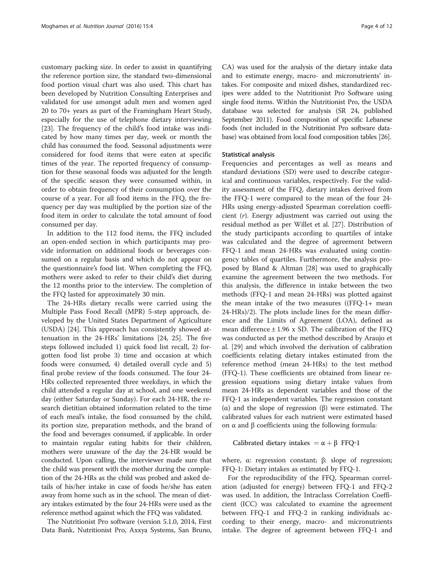customary packing size. In order to assist in quantifying the reference portion size, the standard two-dimensional food portion visual chart was also used. This chart has been developed by Nutrition Consulting Enterprises and validated for use amongst adult men and women aged 20 to 70+ years as part of the Framingham Heart Study, especially for the use of telephone dietary interviewing [[23\]](#page-10-0). The frequency of the child's food intake was indicated by how many times per day, week or month the child has consumed the food. Seasonal adjustments were considered for food items that were eaten at specific times of the year. The reported frequency of consumption for these seasonal foods was adjusted for the length of the specific season they were consumed within, in order to obtain frequency of their consumption over the course of a year. For all food items in the FFQ, the frequency per day was multiplied by the portion size of the food item in order to calculate the total amount of food consumed per day.

In addition to the 112 food items, the FFQ included an open-ended section in which participants may provide information on additional foods or beverages consumed on a regular basis and which do not appear on the questionnaire's food list. When completing the FFQ, mothers were asked to refer to their child's diet during the 12 months prior to the interview. The completion of the FFQ lasted for approximately 30 min.

The 24-HRs dietary recalls were carried using the Multiple Pass Food Recall (MPR) 5-step approach, developed by the United States Department of Agriculture (USDA) [[24\]](#page-10-0). This approach has consistently showed attenuation in the 24-HRs' limitations [\[24, 25](#page-10-0)]. The five steps followed included 1) quick food list recall, 2) forgotten food list probe 3) time and occasion at which foods were consumed, 4) detailed overall cycle and 5) final probe review of the foods consumed. The four 24- HRs collected represented three weekdays, in which the child attended a regular day at school, and one weekend day (either Saturday or Sunday). For each 24-HR, the research dietitian obtained information related to the time of each meal's intake, the food consumed by the child, its portion size, preparation methods, and the brand of the food and beverages consumed, if applicable. In order to maintain regular eating habits for their children, mothers were unaware of the day the 24-HR would be conducted. Upon calling, the interviewer made sure that the child was present with the mother during the completion of the 24-HRs as the child was probed and asked details of his/her intake in case of foods he/she has eaten away from home such as in the school. The mean of dietary intakes estimated by the four 24-HRs were used as the reference method against which the FFQ was validated.

The Nutritionist Pro software (version 5.1.0, 2014, First Data Bank, Nutritionist Pro, Axxya Systems, San Bruno,

CA) was used for the analysis of the dietary intake data and to estimate energy, macro- and micronutrients' intakes. For composite and mixed dishes, standardized recipes were added to the Nutritionist Pro Software using single food items. Within the Nutritionist Pro, the USDA database was selected for analysis (SR 24, published September 2011). Food composition of specific Lebanese foods (not included in the Nutritionist Pro software database) was obtained from local food composition tables [[26](#page-10-0)].

#### Statistical analysis

Frequencies and percentages as well as means and standard deviations (SD) were used to describe categorical and continuous variables, respectively. For the validity assessment of the FFQ, dietary intakes derived from the FFQ-1 were compared to the mean of the four 24- HRs using energy-adjusted Spearman correlation coefficient (r). Energy adjustment was carried out using the residual method as per Willet et al. [[27\]](#page-10-0). Distribution of the study participants according to quartiles of intake was calculated and the degree of agreement between FFQ-1 and mean 24-HRs was evaluated using contingency tables of quartiles. Furthermore, the analysis proposed by Bland & Altman [[28\]](#page-10-0) was used to graphically examine the agreement between the two methods. For this analysis, the difference in intake between the two methods (FFQ-1 and mean 24-HRs) was plotted against the mean intake of the two measures ((FFQ-1+ mean 24-HRs)/2). The plots include lines for the mean difference and the Limits of Agreement (LOA), defined as mean difference  $\pm$  1.96 x SD. The calibration of the FFQ was conducted as per the method described by Araujo et al. [[29\]](#page-10-0) and which involved the derivation of calibration coefficients relating dietary intakes estimated from the reference method (mean 24-HRs) to the test method (FFQ-1). These coefficients are obtained from linear regression equations using dietary intake values from mean 24-HRs as dependent variables and those of the FFQ-1 as independent variables. The regression constant (α) and the slope of regression (β) were estimated. The calibrated values for each nutrient were estimated based on  $\alpha$  and  $\beta$  coefficients using the following formula:

Calibrated dietary intakes =  $\alpha + \beta$  FFQ-1

where, α: regression constant; β: slope of regression; FFQ-1: Dietary intakes as estimated by FFQ-1.

For the reproducibility of the FFQ, Spearman correlation (adjusted for energy) between FFQ-1 and FFQ-2 was used. In addition, the Intraclass Correlation Coefficient (ICC) was calculated to examine the agreement between FFQ-1 and FFQ-2 in ranking individuals according to their energy, macro- and micronutrients intake. The degree of agreement between FFQ-1 and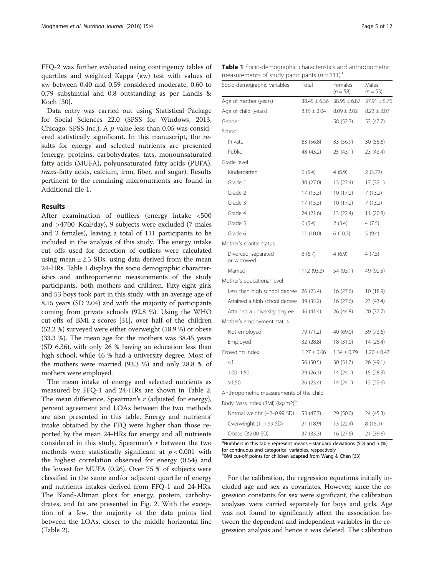FFQ-2 was further evaluated using contingency tables of quartiles and weighted Kappa (κw) test with values of κw between 0.40 and 0.59 considered moderate, 0.60 to 0.79 substantial and 0.8 outstanding as per Landis & Koch [\[30\]](#page-10-0).

Data entry was carried out using Statistical Package for Social Sciences 22.0 (SPSS for Windows, 2013, Chicago: SPSS Inc.). A p-value less than 0.05 was considered statistically significant. In this manuscript, the results for energy and selected nutrients are presented (energy, proteins, carbohydrates, fats, monounsaturated fatty acids (MUFA), polyunsaturated fatty acids (PUFA), trans-fatty acids, calcium, iron, fiber, and sugar). Results pertinent to the remaining micronutrients are found in Additional file [1.](#page-9-0)

## Results

After examination of outliers (energy intake <500 and >4700 Kcal/day), 9 subjects were excluded (7 males and 2 females), leaving a total of 111 participants to be included in the analysis of this study. The energy intake cut offs used for detection of outliers were calculated using mean  $\pm 2.5$  SDs, using data derived from the mean 24-HRs. Table 1 displays the socio demographic characteristics and anthropometric measurements of the study participants, both mothers and children. Fifty-eight girls and 53 boys took part in this study, with an average age of 8.15 years (SD 2.04) and with the majority of participants coming from private schools (92.8 %). Using the WHO cut-offs of BMI z-scores [[31](#page-10-0)], over half of the children (52.2 %) surveyed were either overweight (18.9 %) or obese (33.3 %). The mean age for the mothers was 38.45 years (SD 6.36), with only 26 % having an education less than high school, while 46 % had a university degree. Most of the mothers were married (93.3 %) and only 28.8 % of mothers were employed.

The mean intake of energy and selected nutrients as measured by FFQ-1 and 24-HRs are shown in Table [2](#page-5-0). The mean difference, Spearman's r (adjusted for energy), percent agreement and LOAs between the two methods are also presented in this table. Energy and nutrients' intake obtained by the FFQ were higher than those reported by the mean 24-HRs for energy and all nutrients considered in this study. Spearman's r between the two methods were statistically significant at  $p < 0.001$  with the highest correlation observed for energy (0.54) and the lowest for MUFA (0.26). Over 75 % of subjects were classified in the same and/or adjacent quartile of energy and nutrients intakes derived from FFQ-1 and 24-HRs. The Bland-Altman plots for energy, protein, carbohydrates, and fat are presented in Fig. [2](#page-6-0). With the exception of a few, the majority of the data points lied between the LOAs, closer to the middle horizontal line (Table [2\)](#page-5-0).

|  |                                                               | <b>Table 1</b> Socio-demographic characteristics and anthropometric |
|--|---------------------------------------------------------------|---------------------------------------------------------------------|
|  | measurements of study participants ( $n = 111$ ) <sup>a</sup> |                                                                     |

| Socio-demographic variables                | Total            | Females<br>$(n = 58)$ | Males<br>$(n = 53)$ |
|--------------------------------------------|------------------|-----------------------|---------------------|
| Age of mother (years)                      | $38.45 \pm 6.36$ | $38.95 \pm 6.87$      | $37.91 \pm 5.76$    |
| Age of child (years)                       | $8.15 \pm 2.04$  | $8.09 \pm 2.02$       | $8.23 \pm 2.07$     |
| Gender                                     |                  | 58 (52.3)             | 53 (47.7)           |
| School                                     |                  |                       |                     |
| Private                                    | 63 (56.8)        | 33 (56.9)             | 30 (56.6)           |
| Public                                     | 48 (43.2)        | 25 (43.1)             | 23 (43.4)           |
| Grade level                                |                  |                       |                     |
| Kindergarten                               | 6(5.4)           | 4(6.9)                | 2(3.77)             |
| Grade 1                                    | 30 (27.0)        | 13 (22.4)             | 17(32.1)            |
| Grade 2                                    | 17 (15.3)        | 10 (17.2)             | 7(13.2)             |
| Grade 3                                    | 17 (15.3)        | 10 (17.2)             | 7(13.2)             |
| Grade 4                                    | 24 (21.6)        | 13 (22.4)             | 11(20.8)            |
| Grade 5                                    | 6(5.4)           | 2(3.4)                | 4(7.5)              |
| Grade 6                                    | 11(10.0)         | 6(10.3)               | 5(9.4)              |
| Mother's marital status                    |                  |                       |                     |
| Divorced, separated<br>or widowed          | 8(6.7)           | 4 (6.9)               | 4(7.5)              |
| Married                                    | 112 (93.3)       | 54 (93.1)             | 49 (92.5)           |
| Mother's educational level                 |                  |                       |                     |
| Less than high school degree               | 26 (23.4)        | 16 (27.6)             | 10 (18.9)           |
| Attained a high school degree              | 39 (35.2)        | 16(27.6)              | 23 (43.4)           |
| Attained a university degree               | 46 (41.4)        | 26 (44.8)             | 20 (37.7)           |
| Mother's employment status                 |                  |                       |                     |
| Not employed                               | 79 (71.2)        | 40 (69.0)             | 39 (73.6)           |
| Employed                                   | 32 (28.8)        | 18 (31.0)             | 14 (26.4)           |
| Crowding index                             | $1.27 \pm 0.66$  | $1.34 \pm 0.79$       | $1.20 \pm 0.47$     |
| $<$ 1                                      | 56 (50.5)        | 30 (51.7)             | 26 (49.1)           |
| $1.00 - 1.50$                              | 29 (26.1)        | 14 (24.1)             | 15 (28.3)           |
| >1.50                                      | 26 (23.4)        | 14 (24.1)             | 12 (22.6)           |
| Anthropometric measurements of the child   |                  |                       |                     |
| Body Mass Index (BMI) (kg/m2) <sup>D</sup> |                  |                       |                     |
| Normal weight (-2-0.99 SD)                 | 53 (47.7)        | 29 (50.0)             | 24 (45.3)           |
| Overweight (1-1.99 SD)                     | 21 (18.9)        | 13 (22.4)             | 8(15.1)             |
| Obese (≥2.00 SD)                           | 37 (33.3)        | 16 (27.6)             | 21 (39.6)           |

<sup>a</sup>Numbers in this table represent means  $\pm$  standard deviations (SD) and n (%) for continuous and categorical variables, respectively

**bBMI cut-off points for children adapted from Wang & Chen [[33](#page-10-0)]** 

For the calibration, the regression equations initially included age and sex as covariates. However, since the regression constants for sex were significant, the calibration analyses were carried separately for boys and girls. Age was not found to significantly affect the association between the dependent and independent variables in the regression analysis and hence it was deleted. The calibration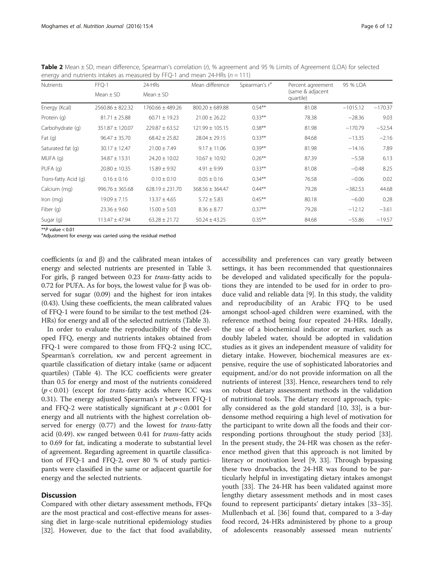| Nutrients            | FFQ-1                | 24-HRs               | Mean difference     | Spearman's r <sup>a</sup> | Percent agreement             | 95 % LOA   |           |
|----------------------|----------------------|----------------------|---------------------|---------------------------|-------------------------------|------------|-----------|
|                      | Mean $\pm$ SD        | Mean $\pm$ SD        |                     |                           | (same & adjacent<br>quartile) |            |           |
| Energy (Kcal)        | $2560.86 \pm 822.32$ | $1760.66 \pm 489.26$ | $800.20 \pm 689.88$ | $0.54***$                 | 81.08                         | $-1015.12$ | $-170.37$ |
| Protein (g)          | $81.71 \pm 25.88$    | $60.71 \pm 19.23$    | $21.00 \pm 26.22$   | $0.33***$                 | 78.38                         | $-28.36$   | 9.03      |
| Carbohydrate (q)     | $351.87 \pm 120.07$  | $229.87 \pm 63.52$   | $121.99 \pm 105.15$ | $0.38***$                 | 81.98                         | $-170.79$  | $-52.54$  |
| Fat $(q)$            | $96.47 \pm 35.70$    | $68.42 \pm 25.82$    | $28.04 \pm 29.15$   | $0.33***$                 | 84.68                         | $-13.35$   | $-2.16$   |
| Saturated fat (g)    | $30.17 \pm 12.47$    | $21.00 \pm 7.49$     | $9.17 \pm 11.06$    | $0.39***$                 | 81.98                         | $-14.16$   | 7.89      |
| MUFA (g)             | $34.87 \pm 13.31$    | $24.20 \pm 10.02$    | $10.67 \pm 10.92$   | $0.26***$                 | 87.39                         | $-5.58$    | 6.13      |
| PUFA (q)             | $20.80 \pm 10.35$    | $15.89 \pm 9.92$     | $4.91 \pm 9.99$     | $0.33***$                 | 81.08                         | $-0.48$    | 8.25      |
| Trans-fatty Acid (q) | $0.16 \pm 0.16$      | $0.10 \pm 0.10$      | $0.05 \pm 0.16$     | $0.34***$                 | 76.58                         | $-0.06$    | 0.02      |
| Calcium (mg)         | $996.76 \pm 365.68$  | $628.19 \pm 231.70$  | $368.56 \pm 364.47$ | $0.44***$                 | 79.28                         | $-382.53$  | 44.68     |
| Iron (mg)            | $19.09 \pm 7.15$     | $13.37 \pm 4.65$     | $5.72 \pm 5.83$     | $0.45***$                 | 80.18                         | $-6.00$    | 0.28      |
| Fiber (g)            | $23.36 \pm 9.60$     | $15.00 \pm 5.03$     | $8.36 \pm 8.77$     | $0.37***$                 | 79.28                         | $-12.12$   | $-3.61$   |
| Sugar (g)            | $113.47 \pm 47.94$   | $63.28 \pm 21.72$    | $50.24 \pm 43.25$   | $0.35***$                 | 84.68                         | $-55.86$   | $-19.57$  |

<span id="page-5-0"></span>Table 2 Mean ± SD, mean difference, Spearman's correlation (r), % agreement and 95 % Limits of Agreement (LOA) for selected energy and nutrients intakes as measured by FFQ-1 and mean 24-HRs ( $n = 111$ )

 $**$ P value < 0.01

<sup>a</sup>Adjustment for energy was carried using the residual method

coefficients (α and β) and the calibrated mean intakes of energy and selected nutrients are presented in Table [3](#page-7-0). For girls, β ranged between 0.23 for trans-fatty acids to 0.72 for PUFA. As for boys, the lowest value for β was observed for sugar (0.09) and the highest for iron intakes (0.43). Using these coefficients, the mean calibrated values of FFQ-1 were found to be similar to the test method (24- HRs) for energy and all of the selected nutrients (Table [3](#page-7-0)).

In order to evaluate the reproducibility of the developed FFQ, energy and nutrients intakes obtained from FFQ-1 were compared to those from FFQ-2 using ICC, Spearman's correlation, κw and percent agreement in quartile classification of dietary intake (same or adjacent quartiles) (Table [4\)](#page-8-0). The ICC coefficients were greater than 0.5 for energy and most of the nutrients considered  $(p < 0.01)$  (except for *trans*-fatty acids where ICC was 0.31). The energy adjusted Spearman's r between FFQ-1 and FFQ-2 were statistically significant at  $p < 0.001$  for energy and all nutrients with the highest correlation observed for energy (0.77) and the lowest for *trans-fatty* acid (0.49). κw ranged between 0.41 for trans-fatty acids to 0.69 for fat, indicating a moderate to substantial level of agreement. Regarding agreement in quartile classification of FFQ-1 and FFQ-2, over 80 % of study participants were classified in the same or adjacent quartile for energy and the selected nutrients.

## **Discussion**

Compared with other dietary assessment methods, FFQs are the most practical and cost-effective means for assessing diet in large-scale nutritional epidemiology studies [[32\]](#page-10-0). However, due to the fact that food availability, accessibility and preferences can vary greatly between settings, it has been recommended that questionnaires be developed and validated specifically for the populations they are intended to be used for in order to produce valid and reliable data [\[9](#page-10-0)]. In this study, the validity and reproducibility of an Arabic FFQ to be used amongst school-aged children were examined, with the reference method being four repeated 24-HRs. Ideally, the use of a biochemical indicator or marker, such as doubly labeled water, should be adopted in validation studies as it gives an independent measure of validity for dietary intake. However, biochemical measures are expensive, require the use of sophisticated laboratories and equipment, and/or do not provide information on all the nutrients of interest [[33](#page-10-0)]. Hence, researchers tend to rely on robust dietary assessment methods in the validation of nutritional tools. The dietary record approach, typically considered as the gold standard [[10, 33](#page-10-0)], is a burdensome method requiring a high level of motivation for the participant to write down all the foods and their corresponding portions throughout the study period [\[33](#page-10-0)]. In the present study, the 24-HR was chosen as the reference method given that this approach is not limited by literacy or motivation level [\[9](#page-10-0), [33\]](#page-10-0). Through bypassing these two drawbacks, the 24-HR was found to be particularly helpful in investigating dietary intakes amongst youth [[33\]](#page-10-0). The 24-HR has been validated against more lengthy dietary assessment methods and in most cases found to represent participants' dietary intakes [[33](#page-10-0)–[35](#page-10-0)]. Mullenbach et al. [[36](#page-10-0)] found that, compared to a 3-day food record, 24-HRs administered by phone to a group of adolescents reasonably assessed mean nutrients'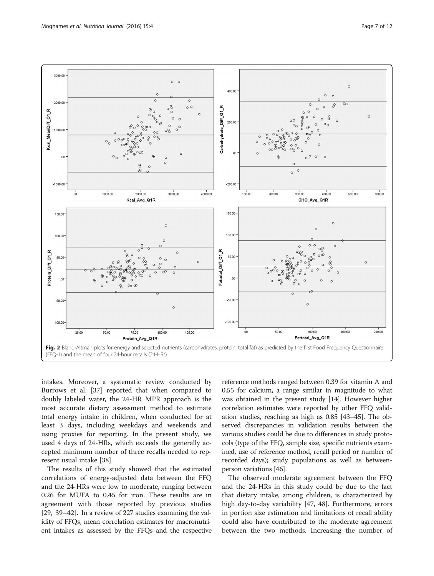<span id="page-6-0"></span>

intakes. Moreover, a systematic review conducted by Burrows et al. [[37](#page-10-0)] reported that when compared to doubly labeled water, the 24-HR MPR approach is the most accurate dietary assessment method to estimate total energy intake in children, when conducted for at least 3 days, including weekdays and weekends and using proxies for reporting. In the present study, we used 4 days of 24-HRs, which exceeds the generally accepted minimum number of three recalls needed to represent usual intake [[38\]](#page-10-0).

The results of this study showed that the estimated correlations of energy-adjusted data between the FFQ and the 24-HRs were low to moderate, ranging between 0.26 for MUFA to 0.45 for iron. These results are in agreement with those reported by previous studies [[29, 39](#page-10-0)–[42](#page-10-0)]. In a review of 227 studies examining the validity of FFQs, mean correlation estimates for macronutrient intakes as assessed by the FFQs and the respective

reference methods ranged between 0.39 for vitamin A and 0.55 for calcium, a range similar in magnitude to what was obtained in the present study [[14\]](#page-10-0). However higher correlation estimates were reported by other FFQ validation studies, reaching as high as 0.85 [[43](#page-10-0)–[45\]](#page-10-0). The observed discrepancies in validation results between the various studies could be due to differences in study protocols (type of the FFQ, sample size, specific nutrients examined, use of reference method, recall period or number of recorded days); study populations as well as betweenperson variations [[46](#page-10-0)].

The observed moderate agreement between the FFQ and the 24-HRs in this study could be due to the fact that dietary intake, among children, is characterized by high day-to-day variability [\[47, 48\]](#page-10-0). Furthermore, errors in portion size estimation and limitations of recall ability could also have contributed to the moderate agreement between the two methods. Increasing the number of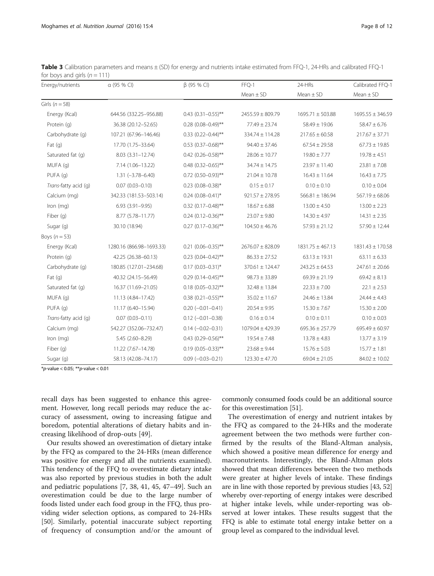| Energy/nutrients     | $\alpha$ (95 % CI)       | $\beta$ (95 % CI)         | FFQ-1                | 24-HRs               | Calibrated FFQ-1<br>$Mean \pm SD$ |  |
|----------------------|--------------------------|---------------------------|----------------------|----------------------|-----------------------------------|--|
|                      |                          |                           | $Mean \pm SD$        | $Mean \pm SD$        |                                   |  |
| Girls ( $n = 58$ )   |                          |                           |                      |                      |                                   |  |
| Energy (Kcal)        | 644.56 (332.25-956.88)   | $0.43$ $(0.31 - 0.55)$ ** | $2455.59 \pm 809.79$ | $1695.71 \pm 503.88$ | $1695.55 \pm 346.59$              |  |
| Protein (g)          | 36.38 (20.12-52.65)      | $0.28$ (0.08-0.49)**      | 77.49 ± 23.74        | $58.49 \pm 19.06$    | $58.47 \pm 6.76$                  |  |
| Carbohydrate (q)     | 107.21 (67.96-146.46)    | $0.33$ $(0.22 - 0.44)$ ** | 334.74 ± 114.28      | $217.65 \pm 60.58$   | $217.67 \pm 37.71$                |  |
| Fat $(q)$            | 17.70 (1.75-33.64)       | $0.53$ (0.37-0.68)**      | $94.40 \pm 37.46$    | $67.54 \pm 29.58$    | $67.73 \pm 19.85$                 |  |
| Saturated fat (q)    | $8.03(3.31 - 12.74)$     | $0.42$ (0.26-0.58)**      | $28.06 \pm 10.77$    | $19.80 \pm 7.77$     | $19.78 \pm 4.51$                  |  |
| MUFA (q)             | 7.14 (1.06-13.22)        | $0.48$ (0.32-0.65)**      | $34.74 \pm 14.75$    | $23.97 \pm 11.40$    | $23.81 \pm 7.08$                  |  |
| PUFA (q)             | $1.31 (-3.78 - 6.40)$    | $0.72$ (0.50-0.93)**      | $21.04 \pm 10.78$    | $16.43 \pm 11.64$    | $16.43 \pm 7.75$                  |  |
| Trans-fatty acid (q) | $0.07(0.03 - 0.10)$      | $0.23$ (0.08-0.38)*       | $0.15 \pm 0.17$      | $0.10 \pm 0.10$      | $0.10 \pm 0.04$                   |  |
| Calcium (mg)         | 342.33 (181.53-503.14)   | $0.24$ (0.08-0.41)*       | $921.57 \pm 278.95$  | $566.81 \pm 186.94$  | $567.19 \pm 68.06$                |  |
| Iron (mg)            | $6.93(3.91 - 9.95)$      | $0.32$ (0.17-0.48)**      | $18.67 \pm 6.88$     | $13.00 \pm 4.50$     | $13.00 \pm 2.23$                  |  |
| Fiber (q)            | 8.77 (5.78-11.77)        | $0.24$ (0.12-0.36)**      | $23.07 \pm 9.80$     | $14.30 \pm 4.97$     | $14.31 \pm 2.35$                  |  |
| Sugar (g)            | 30.10 (18.94)            | $0.27$ (0.17-0.36)**      | $104.50 \pm 46.76$   | $57.93 \pm 21.12$    | $57.90 \pm 12.44$                 |  |
| Boys $(n=53)$        |                          |                           |                      |                      |                                   |  |
| Energy (Kcal)        | 1280.16 (866.98-1693.33) | $0.21$ (0.06-0.35)**      | $2676.07 \pm 828.09$ | $1831.75 \pm 467.13$ | 1831.43 ± 170.58                  |  |
| Protein (q)          | 42.25 (26.38-60.13)      | $0.23$ $(0.04 - 0.42)$ ** | $86.33 \pm 27.52$    | $63.13 \pm 19.31$    | $63.11 \pm 6.33$                  |  |
| Carbohydrate (q)     | 180.85 (127.01-234.68)   | $0.17$ (0.03-0.31)*       | $370.61 \pm 124.47$  | $243.25 \pm 64.53$   | $247.61 \pm 20.66$                |  |
| Fat $(q)$            | 40.32 (24.15-56.49)      | $0.29(0.14 - 0.45)$ **    | $98.73 \pm 33.89$    | $69.39 \pm 21.19$    | $69.42 \pm 8.13$                  |  |
| Saturated fat (q)    | 16.37 (11.69-21.05)      | $0.18(0.05 - 0.32)$ **    | $32.48 \pm 13.84$    | $22.33 \pm 7.00$     | $22.1 \pm 2.53$                   |  |
| MUFA (q)             | 11.13 (4.84-17.42)       | $0.38$ $(0.21 - 0.55)$ ** | $35.02 \pm 11.67$    | $24.46 \pm 13.84$    | $24.44 \pm 4.43$                  |  |
| PUFA (q)             | 11.17 (6.40-15.94)       | $0.20 (-0.01 - 0.41)$     | $20.54 \pm 9.95$     | $15.30 \pm 7.67$     | $15.30 \pm 2.00$                  |  |

Trans-fatty acid (g) 0.07 (0.03–0.11) 0.12 (−0.01–0.38) 0.16 ± 0.14 0.10 ± 0.11 0.10 ± 0.03 Calcium (mg) 542.27 (352.06–732.47) 0.14 (−0.02–0.31) 1079.04 ± 429.39 695.36 ± 257.79 695.49 ± 60.97  $Iron (mq)$  5.45 (2.60–8.29) 0.43 (0.29–0.56)\*\* 19.54 ± 7.48 13.78 ± 4.83 13.77 ± 3.19 Fiber (g) 11.22 (7.67–14.78) 0.19 (0.05–0.33)\*\* 23.68 ± 9.44 15.76 ± 5.03 15.77 ± 1.81 Sugar (g) 58.13 (42.08–74.17) 0.09 (−0.03–0.21) 123.30 ± 47.70 69.04 ± 21.05 84.02 ± 10.02

<span id="page-7-0"></span>Table 3 Calibration parameters and means  $\pm$  (SD) for energy and nutrients intake estimated from FFQ-1, 24-HRs and calibrated FFQ-1 for boys and girls  $(n = 111)$ 

\*p-value < 0.05; \*\*p-value < 0.01

recall days has been suggested to enhance this agreement. However, long recall periods may reduce the accuracy of assessment, owing to increasing fatigue and boredom, potential alterations of dietary habits and increasing likelihood of drop-outs [[49](#page-10-0)].

Our results showed an overestimation of dietary intake by the FFQ as compared to the 24-HRs (mean difference was positive for energy and all the nutrients examined). This tendency of the FFQ to overestimate dietary intake was also reported by previous studies in both the adult and pediatric populations [[7, 38, 41](#page-10-0), [45](#page-10-0), [47](#page-10-0)–[49](#page-10-0)]. Such an overestimation could be due to the large number of foods listed under each food group in the FFQ, thus providing wider selection options, as compared to 24-HRs [[50\]](#page-10-0). Similarly, potential inaccurate subject reporting of frequency of consumption and/or the amount of

commonly consumed foods could be an additional source for this overestimation [[51](#page-10-0)].

The overestimation of energy and nutrient intakes by the FFQ as compared to the 24-HRs and the moderate agreement between the two methods were further confirmed by the results of the Bland-Altman analysis, which showed a positive mean difference for energy and macronutrients. Interestingly, the Bland-Altman plots showed that mean differences between the two methods were greater at higher levels of intake. These findings are in line with those reported by previous studies [\[43, 52](#page-10-0)] whereby over-reporting of energy intakes were described at higher intake levels, while under-reporting was observed at lower intakes. These results suggest that the FFQ is able to estimate total energy intake better on a group level as compared to the individual level.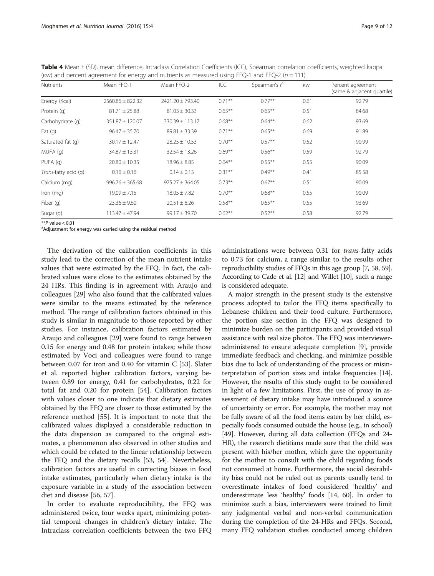<span id="page-8-0"></span>Table 4 Mean ± (SD), mean difference, Intraclass Correlation Coefficients (ICC), Spearman correlation coefficients, weighted kappa (κw) and percent agreement for energy and nutrients as measured using FFQ-1 and FFQ-2 ( $n = 111$ )

| <b>Nutrients</b>     | Mean FFQ-1           | Mean FFQ-2          | ICC       | Spearman's $ra$ | KW   | Percent agreement<br>(same & adjacent quartile) |
|----------------------|----------------------|---------------------|-----------|-----------------|------|-------------------------------------------------|
| Energy (Kcal)        | $2560.86 \pm 822.32$ | 2421.20 ± 793.40    | $0.71***$ | $0.77***$       | 0.61 | 92.79                                           |
| Protein (q)          | $81.71 \pm 25.88$    | $81.03 \pm 30.33$   | $0.65***$ | $0.65***$       | 0.51 | 84.68                                           |
| Carbohydrate (q)     | $351.87 \pm 120.07$  | $330.39 \pm 113.17$ | $0.68***$ | $0.64***$       | 0.62 | 93.69                                           |
| Fat $(q)$            | $96.47 \pm 35.70$    | $89.81 \pm 33.39$   | $0.71***$ | $0.65***$       | 0.69 | 91.89                                           |
| Saturated fat (q)    | $30.17 \pm 12.47$    | $28.25 \pm 10.53$   | $0.70***$ | $0.57***$       | 0.52 | 90.99                                           |
| MUFA (q)             | $34.87 \pm 13.31$    | $32.54 \pm 13.26$   | $0.69***$ | $0.56***$       | 0.59 | 92.79                                           |
| PUFA(G)              | $20.80 \pm 10.35$    | $18.96 \pm 8.85$    | $0.64***$ | $0.55***$       | 0.55 | 90.09                                           |
| Trans-fatty acid (q) | $0.16 \pm 0.16$      | $0.14 \pm 0.13$     | $0.31***$ | $0.49***$       | 0.41 | 85.58                                           |
| Calcium (mg)         | $996.76 \pm 365.68$  | $975.27 \pm 364.05$ | $0.73***$ | $0.67***$       | 0.51 | 90.09                                           |
| Iron $(mq)$          | $19.09 \pm 7.15$     | $18.05 \pm 7.82$    | $0.70***$ | $0.68***$       | 0.55 | 90.09                                           |
| Fiber (g)            | $23.36 \pm 9.60$     | $20.51 \pm 8.26$    | $0.58***$ | $0.65***$       | 0.55 | 93.69                                           |
| Sugar (g)            | $113.47 \pm 47.94$   | $99.17 \pm 39.70$   | $0.62***$ | $0.52***$       | 0.58 | 92.79                                           |

 $*$ <sup>\*</sup>P value < 0.01

aAdjustment for energy was carried using the residual method

The derivation of the calibration coefficients in this study lead to the correction of the mean nutrient intake values that were estimated by the FFQ. In fact, the calibrated values were close to the estimates obtained by the 24 HRs. This finding is in agreement with Araujo and colleagues [[29](#page-10-0)] who also found that the calibrated values were similar to the means estimated by the reference method. The range of calibration factors obtained in this study is similar in magnitude to those reported by other studies. For instance, calibration factors estimated by Araujo and colleagues [[29\]](#page-10-0) were found to range between 0.15 for energy and 0.48 for protein intakes; while those estimated by Voci and colleagues were found to range between 0.07 for iron and 0.40 for vitamin C [[53\]](#page-10-0). Slater et al. reported higher calibration factors, varying between 0.89 for energy, 0.41 for carbohydrates, 0.22 for total fat and 0.20 for protein [\[54](#page-10-0)]. Calibration factors with values closer to one indicate that dietary estimates obtained by the FFQ are closer to those estimated by the reference method [\[55](#page-10-0)]. It is important to note that the calibrated values displayed a considerable reduction in the data dispersion as compared to the original estimates, a phenomenon also observed in other studies and which could be related to the linear relationship between the FFQ and the dietary recalls [[53, 54](#page-10-0)]. Nevertheless, calibration factors are useful in correcting biases in food intake estimates, particularly when dietary intake is the exposure variable in a study of the association between diet and disease [[56](#page-10-0), [57](#page-10-0)].

In order to evaluate reproducibility, the FFQ was administered twice, four weeks apart, minimizing potential temporal changes in children's dietary intake. The Intraclass correlation coefficients between the two FFQ

administrations were between 0.31 for trans-fatty acids to 0.73 for calcium, a range similar to the results other reproducibility studies of FFQs in this age group [\[7, 58](#page-10-0), [59](#page-10-0)]. According to Cade et al. [\[12\]](#page-10-0) and Willet [[10](#page-10-0)], such a range is considered adequate.

A major strength in the present study is the extensive process adopted to tailor the FFQ items specifically to Lebanese children and their food culture. Furthermore, the portion size section in the FFQ was designed to minimize burden on the participants and provided visual assistance with real size photos. The FFQ was intervieweradministered to ensure adequate completion [[9](#page-10-0)], provide immediate feedback and checking, and minimize possible bias due to lack of understanding of the process or misinterpretation of portion sizes and intake frequencies [[14](#page-10-0)]. However, the results of this study ought to be considered in light of a few limitations. First, the use of proxy in assessment of dietary intake may have introduced a source of uncertainty or error. For example, the mother may not be fully aware of all the food items eaten by her child, especially foods consumed outside the house (e.g., in school) [[49](#page-10-0)]. However, during all data collection (FFQs and 24- HR), the research dietitians made sure that the child was present with his/her mother, which gave the opportunity for the mother to consult with the child regarding foods not consumed at home. Furthermore, the social desirability bias could not be ruled out as parents usually tend to overestimate intakes of food considered 'healthy' and underestimate less 'healthy' foods [\[14, 60\]](#page-10-0). In order to minimize such a bias, interviewers were trained to limit any judgmental verbal and non-verbal communication during the completion of the 24-HRs and FFQs. Second, many FFQ validation studies conducted among children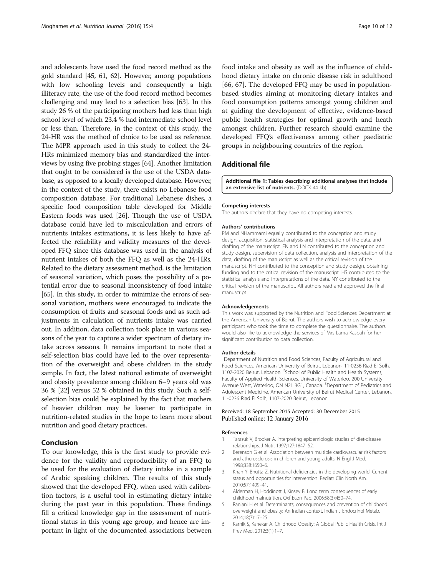<span id="page-9-0"></span>and adolescents have used the food record method as the gold standard [[45, 61](#page-10-0), [62](#page-10-0)]. However, among populations with low schooling levels and consequently a high illiteracy rate, the use of the food record method becomes challenging and may lead to a selection bias [\[63\]](#page-11-0). In this study 26 % of the participating mothers had less than high school level of which 23.4 % had intermediate school level or less than. Therefore, in the context of this study, the 24-HR was the method of choice to be used as reference. The MPR approach used in this study to collect the 24- HRs minimized memory bias and standardized the interviews by using five probing stages [[64](#page-11-0)]. Another limitation that ought to be considered is the use of the USDA database, as opposed to a locally developed database. However, in the context of the study, there exists no Lebanese food composition database. For traditional Lebanese dishes, a specific food composition table developed for Middle Eastern foods was used [\[26](#page-10-0)]. Though the use of USDA database could have led to miscalculation and errors of nutrients intakes estimations, it is less likely to have affected the reliability and validity measures of the developed FFQ since this database was used in the analysis of nutrient intakes of both the FFQ as well as the 24-HRs. Related to the dietary assessment method, is the limitation of seasonal variation, which poses the possibility of a potential error due to seasonal inconsistency of food intake [[65](#page-11-0)]. In this study, in order to minimize the errors of seasonal variation, mothers were encouraged to indicate the consumption of fruits and seasonal foods and as such adjustments in calculation of nutrients intake was carried out. In addition, data collection took place in various seasons of the year to capture a wider spectrum of dietary intake across seasons. It remains important to note that a self-selection bias could have led to the over representation of the overweight and obese children in the study sample. In fact, the latest national estimate of overweight and obesity prevalence among children 6–9 years old was 36 % [[22](#page-10-0)] versus 52 % obtained in this study. Such a selfselection bias could be explained by the fact that mothers of heavier children may be keener to participate in nutrition-related studies in the hope to learn more about nutrition and good dietary practices.

## Conclusion

To our knowledge, this is the first study to provide evidence for the validity and reproducibility of an FFQ to be used for the evaluation of dietary intake in a sample of Arabic speaking children. The results of this study showed that the developed FFQ, when used with calibration factors, is a useful tool in estimating dietary intake during the past year in this population. These findings fill a critical knowledge gap in the assessment of nutritional status in this young age group, and hence are important in light of the documented associations between

food intake and obesity as well as the influence of childhood dietary intake on chronic disease risk in adulthood [[66, 67\]](#page-11-0). The developed FFQ may be used in populationbased studies aiming at monitoring dietary intakes and food consumption patterns amongst young children and at guiding the development of effective, evidence-based public health strategies for optimal growth and heath amongst children. Further research should examine the developed FFQ's effectiveness among other paediatric groups in neighbouring countries of the region.

## Additional file

[Additional file 1:](dx.doi.org/10.1186/s12937-015-0121-1) Tables describing additional analyses that include an extensive list of nutrients. (DOCX 44 kb)

#### Competing interests

The authors declare that they have no competing interests.

#### Authors' contributions

PM and NHammami equally contributed to the conception and study design, acquisition, statistical analysis and interpretation of the data, and drafting of the manuscript. FN and LN contributed to the conception and study design, supervision of data collection, analysis and interpretation of the data, drafting of the manuscript as well as the critical revision of the manuscript. NH contributed to the conception and study design, obtaining funding and to the critical revision of the manuscript. HS contributed to the statistical analysis and interpretations of the data. NY contributed to the critical revision of the manuscript. All authors read and approved the final manuscript.

#### Acknowledgements

This work was supported by the Nutrition and Food Sciences Department at the American University of Beirut. The authors wish to acknowledge every participant who took the time to complete the questionnaire. The authors would also like to acknowledge the services of Mrs Lama Kasbah for her significant contribution to data collection.

#### Author details

<sup>1</sup>Department of Nutrition and Food Sciences, Faculty of Agricultural and Food Sciences, American University of Beirut, Lebanon, 11-0236 Riad El Solh, 1107-2020 Beirut, Lebanon. <sup>2</sup>School of Public Health and Health Systems, Faculty of Applied Health Sciences, University of Waterloo, 200 University Avenue West, Waterloo, ON N2L 3G1, Canada. <sup>3</sup>Department of Pediatrics and Adolescent Medicine, American University of Beirut Medical Center, Lebanon, 11-0236 Riad El Solh, 1107-2020 Beirut, Lebanon.

#### Received: 18 September 2015 Accepted: 30 December 2015 Published online: 12 January 2016

#### References

- 1. Tarasuk V, Brooker A. Interpreting epidemiologic studies of diet-disease relationships. J Nutr. 1997;127:1847–52.
- 2. Berenson G et al. Association between multiple cardiovascular risk factors and atherosclerosis in children and young adults. N Engl J Med. 1998;338:1650–6.
- Khan Y, Bhutta Z. Nutritional deficiencies in the developing world: Current status and opportunities for intervention. Pediatr Clin North Am. 2010;57:1409–41.
- 4. Alderman H, Hoddinott J, Kinsey B. Long term consequences of early childhood malnutrition. Oxf Econ Pap. 2006;58(3):450–74.
- 5. Ranjani H et al. Determinants, consequences and prevention of childhood overweight and obesity: An Indian context. Indian J Endocrinol Metab. 2014;18(7):17–25.
- 6. Karnik S, Kanekar A. Childhood Obesity: A Global Public Health Crisis. Int J Prev Med. 2012;3(1):1–7.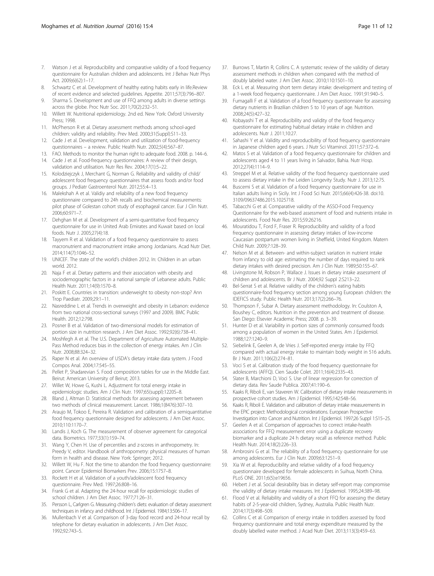- <span id="page-10-0"></span>7. Watson J et al. Reproducibility and comparative validity of a food frequency questionnaire for Australian children and adolescents. Int J Behav Nutr Phys Act. 2009;6(62):1–17.
- 8. Schwartz C et al. Development of healthy eating habits early in life.Review of recent evidence and selected guidelines. Appetite. 2011;57(3):796–807.
- 9. Sharma S. Development and use of FFQ among adults in diverse settings across the globe. Proc Nutr Soc. 2011;70(2):232–51.
- 10. Willett W. Nutritional epidemiology. 2nd ed. New York: Oxford University Press; 1998.
- 11. McPherson R et al. Dietary assessment methods among school-aged children: validity and reliability. Prev Med. 2000;31(Suppl):S11–33.
- 12. Cade J et al. Development, validation and utilization of food-frequency questionnaires – a review. Public Health Nutr. 2002;5(4):567–87.
- 13. FAO. Methods to monitor the human right to adequate food. 2008. p. 144–6. 14. Cade J et al. Food-frequency questionnaires: A review of their design,
- validation and utilisation. Nutr Res Rev. 2004;17(1):5–22. 15. Kolodziejczyk J, Merchant G, Norman G. Reliability and validity of child/
- adolescent food frequency questionnaires that assess foods and/or food groups. J Pediatr Gastroenterol Nutr. 2012;55:4–13.
- 16. Malekshah A et al. Validiy and reliability of a new food frequency questionnaire compared to 24h recalls and biochemical measurements: pilot phase of Golestan cohort study of esophageal cancer. Eur J Clin Nutr. 2006;60:971–7.
- 17. Dehghan M et al. Development of a semi-quantitative food frequency questionnaire for use in United Arab Emirates and Kuwait based on local foods. Nutr J. 2005;27(4):18.
- 18. Tayyem R et al. Validation of a food frequency questionnaire to assess macronutrient and macronutrient intake among Jordanians. Acad Nutr Diet. 2014;114(7):1046–52.
- 19. UNICEF. The state of the world's children 2012. In: Children in an urban world. 2012.
- 20. Naja F et al. Dietary patterns and their association with obesity and sociodemographic factors in a national sample of Lebanese adults. Public Health Nutr. 2011;14(9):1570–8.
- 21. Poskitt E. Countries in transition: underweight to obesity non-stop? Ann Trop Paediatr. 2009;29:1–11.
- 22. Nasreddine L et al. Trends in overweight and obesity in Lebanon: evidence from two national cross-sectional surveys (1997 and 2009). BMC Public Health. 2012;12:798.
- 23. Posner B et al. Validation of two-dimensional models for estimation of portion size in nutrition research. J Am Diet Assoc. 1992;92(6):738–41.
- 24. Moshfegh A et al. The U.S. Department of Agriculture Automated Multiple-Pass Method reduces bias in the collection of energy intakes. Am J Clin Nutr. 2008;88:324–32.
- 25. Raper N et al. An overview of USDA's dietary intake data system. J Food Compos Anal. 2004;17:545–55.
- Pellet P, Shadarevian S. Food composition tables for use in the Middle East. Beirut: American University of Beirut; 2013.
- 27. Willet W, Howe G, Kushi L. Adjustment for total energy intake in epidemiologic studies. Am J Clin Nutr. 1997;65(suppl):1220S–8.
- 28. Bland J, Altman D. Statistical methods for assessing agreement between two methods of clinical measurement. Lancet. 1986;1(8476):307–10.
- 29. Araujo M, Tokoo E, Pereira R. Validation and calibration of a semiquantitative food frequency questionnaire designed for adolescents. J Am Diet Assoc. 2010;110:1170–7.
- 30. Landis J, Koch G. The measurement of observer agreement for categorical data. Biometrics. 1977;33(1):159–74.
- 31. Wang Y, Chen H. Use of percentiles and z-scores in anthropometry. In: Preedy V, editor. Handbook of anthropometry: physical measures of human form in health and disease. New York: Springer; 2012.
- 32. Willett W, Hu F. Not the time to abandon the food frequency questionnaire: point. Cancer Epidemiol Biomarkers Prev. 2006;15:1757–8.
- 33. Rockett H et al. Validation of a youth/adolescent food frequency questionnaire. Prev Med. 1997;26:808–16.
- 34. Frank G et al. Adapting the 24-hour recall for epidemiologic studies of school children. J Am Diet Assoc. 1977;71:26–31.
- 35. Persson L, Carlgren G. Measuring children's diets: evaluation of dietary assessment techniques in infancy and childhood. Int J Epidemiol. 1984;13:506–17.
- 36. Mullenbach V et al. Comparison of 3-day food record and 24-hour recall by telephone for dietary evaluation in adolescents. J Am Diet Assoc. 1992;92:743–5.
- 37. Burrows T, Martin R, Collins C. A systematic review of the validity of dietary assessment methods in children when compared with the method of doubly labeled water. J Am Diet Assoc. 2010;110:1501–10.
- 38. Eck L et al. Measuring short term dietary intake: development and testing of a 1-week food frequency questionnaire. J Am Diet Assoc. 1991;91:940–5.
- 39. Fumagalli F et al. Validation of a food frequency questionnaire for assessing dietary nutrients in Brazilian children 5 to 10 years of age. Nutrition. 2008;24(5):427–32.
- 40. Kobayashi T et al. Reproducibility and validity of the food frequency questionnaire for estimating habitual dietary intake in children and adolescents. Nutr J. 2011;10:27.
- 41. Sahashi Y et al. Validity and reproducibility of food frequency questionnaire in Japanese children aged 6 years. J Nutr Sci Vitaminol. 2011;57:372–6.
- 42. Matos S et al. Validation of a food frequency questionnaire for children and adolescents aged 4 to 11 years living in Salvador, Bahia. Nutr Hosp. 2012;27(4):1114–9.
- 43. Streppel M et al. Relative validity of the food frequency questionnaire used to assess dietary intake in the Leiden Longevity Study. Nutr J. 2013;12:75.
- 44. Buscemi S et al. Validation of a food frequency questionnaire for use in Italian adults living in Sicily. Int J Food Sci Nutr. 2015;66(4):426-38. doi[:10.](http://dx.doi.org/10.3109/09637486.2015.1025718) [3109/09637486.2015.1025718](http://dx.doi.org/10.3109/09637486.2015.1025718).
- Tabacchi G et al. Comparative validity of the ASSO-Food Frequency Questionnaire for the web-based assessment of food and nutrients intake in adolescents. Food Nutr Res. 2015;59:26216.
- 46. Mouratidou T, Ford F, Fraser R. Reproducibility and validity of a food frequency questionnaire in assessing dietary intakes of low-income Caucasian postpartum women living in Sheffield, United Kingdom. Matern Child Nutr. 2009;7:128–39.
- 47. Nelson M et al. Between- and within-subject variation in nutrient intake from infancy to old age: estimating the number of days required to rank dietary intakes with desired precision. Am J Clin Nutr. 1989;50:155–67.
- 48. Livingstone M, Robson P, Wallace J. Issues in dietary intake assessment of children and adolescents. Br J Nutr. 2004;92 Suppl 2:S213–22.
- 49. Bel-Serrat S et al. Relative validity of the children's eating habits questionnaire-food frequency section among young European children: the IDEFICS study. Public Health Nutr. 2013;17(2):266–76.
- 50. Thompson F, Subar A. Dietary assessment methodology. In: Coulston A, Boushey C, editors. Nutrition in the prevention and treatment of disease. San Diego: Elsevier Academic Press; 2008. p. 3–39.
- 51. Hunter D et al. Variability in portion sizes of commonly consumed foods among a population of women in the United States. Am J Epidemiol. 1988;127:1240–9.
- Siebelink E, Geelen A, de Vries J. Self-reported energy intake by FFQ compared with actual energy intake to maintain body weight in 516 adults. Br J Nutr. 2011;106(2):274–81.
- 53. Voci S et al. Calibration study of the food frequency questionnaire for adolescents (AFFQ). Cien Saude Colet. 2011;16(4):2335–43.
- 54. Slater B, Marchioni D, Voci S. Use of linear regression for correction of dietary data. Rev Saude Publica. 2007;41:190–6.
- 55. Kaaks R, Riboli E, van Staveren W. Calibration of dietary intake measurements in prospective cohort studies. Am J Epidemiol. 1995;142:548–56.
- 56. Kaaks R, Riboli E. Validation and calibration of dietary intake measurements in the EPIC project: Methodological considerations. European Prospective Investigation into Cancer and Nutrition. Int J Epidemiol. 1997;26 Suppl 1:S15–25.
- 57. Geelen A et al. Comparison of approaches to correct intake-health associations for FFQ measurement error using a duplicate recovery biomarker and a duplicate 24 h dietary recall as reference method. Public Health Nutr. 2014;18(2):226–33.
- 58. Ambrosini G et al. The reliability of a food frequency questionnaire for use among adolescents. Eur J Clin Nutr. 2009;63:1251–9.
- 59. Xia W et al. Reproducibility and relative validity of a food frequency questionnaire developed for female adolescents in Suihua, North China. PLoS ONE. 2011;6(5):e19656.
- 60. Hebert J et al. Social desirability bias in dietary self-report may compromise the validity of dietary intake measures. Int J Epidemiol. 1995;24:389–98.
- 61. Flood V et al. Reliability and validity of a short FFQ for assessing the dietary habits of 2-5-year-old children, Sydney, Australia. Public Health Nutr. 2014;17(3):498–509.
- 62. Collins C et al. Comparison of energy intake in toddlers assessed by food frequency questionnaire and total energy expenditure measured by the doubly labelled water method. J Acad Nutr Diet. 2013;113(3):459–63.